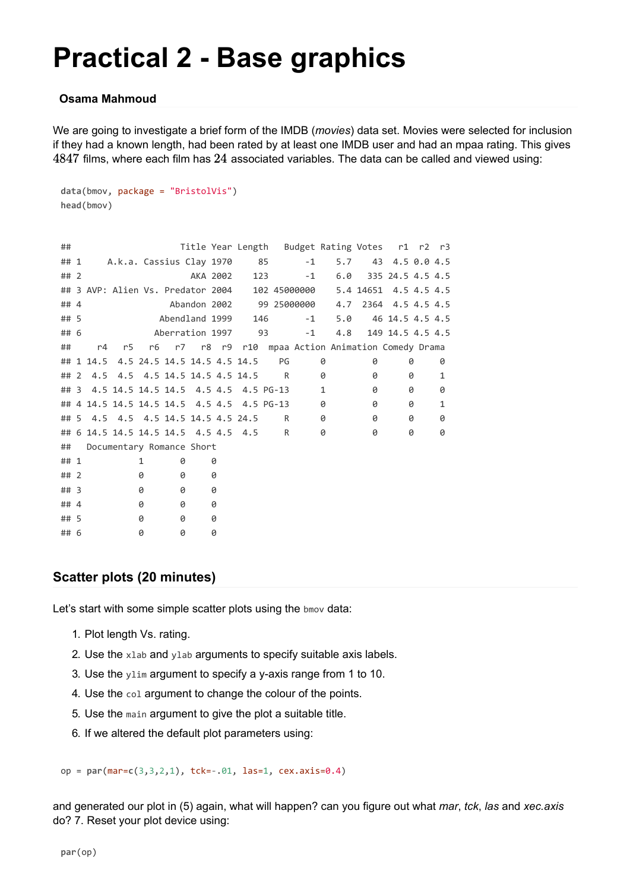# **Practical 2 - Base graphics**

#### **Osama Mahmoud**

We are going to investigate a brief form of the IMDB (*movies*) data set. Movies were selected for inclusion if they had a known length, had been rated by at least one IMDB user and had an mpaa rating. This gives  $4847$  films, where each film has  $24$  associated variables. The data can be called and viewed using:

```
data(bmov, package = "BristolVis")
head(bmov)
```

| ##     |                 |                                       |   |   |                |   |                                      |                                            |                                                 | Title Year Length Budget Rating Votes r1 r2 r3     |                        |                  |   |   |
|--------|-----------------|---------------------------------------|---|---|----------------|---|--------------------------------------|--------------------------------------------|-------------------------------------------------|----------------------------------------------------|------------------------|------------------|---|---|
| ## 1   |                 |                                       |   |   |                |   | A.k.a. Cassius Clay 1970 85          |                                            | $-1$                                            | 5.7                                                |                        | 43 4.5 0.0 4.5   |   |   |
| ##2    |                 |                                       |   |   | AKA 2002       |   |                                      | 123                                        | $-1$                                            |                                                    | $6.0$ 335 24.5 4.5 4.5 |                  |   |   |
|        |                 |                                       |   |   |                |   |                                      |                                            | ## 3 AVP: Alien Vs. Predator 2004  102 45000000 |                                                    | 5.4 14651 4.5 4.5 4.5  |                  |   |   |
| ## 4   |                 |                                       |   |   |                |   |                                      |                                            | Abandon 2002 99 25000000                        | 4.7                                                |                        | 2364 4.5 4.5 4.5 |   |   |
| ## 5   |                 |                                       |   |   | Abendland 1999 |   | 146                                  |                                            | $-1$                                            | 5.0                                                |                        | 46 14.5 4.5 4.5  |   |   |
| ## 6   | Aberration 1997 |                                       |   |   |                |   |                                      | 93                                         | $-1$                                            | 4.8                                                |                        | 149 14.5 4.5 4.5 |   |   |
| ##     | r4              | r5                                    |   |   |                |   |                                      |                                            |                                                 | r6 r7 r8 r9 r10 mpaa Action Animation Comedy Drama |                        |                  |   |   |
|        |                 | ## 1 14.5 4.5 24.5 14.5 14.5 4.5 14.5 |   |   |                |   |                                      | PG                                         |                                                 | 0                                                  | 0                      |                  | 0 | 0 |
| ## 2   |                 | 4.5 4.5 4.5 14.5 14.5 4.5 14.5        |   |   |                |   |                                      | R                                          |                                                 | 0                                                  | 0                      |                  | 0 | 1 |
| $##$ 3 |                 |                                       |   |   |                |   |                                      | 4.5 14.5 14.5 14.5 4.5 4.5 4.5 PG-13       |                                                 | 1                                                  | 0                      |                  | 0 | 0 |
|        |                 |                                       |   |   |                |   |                                      | ## 4 14.5 14.5 14.5 14.5 4.5 4.5 4.5 PG-13 |                                                 | 0                                                  | 0                      |                  | 0 | 1 |
|        |                 | ## 5 4.5 4.5 4.5 14.5 14.5 4.5 24.5   |   |   |                |   |                                      | R                                          |                                                 | 0                                                  | 0                      |                  | 0 | 0 |
|        |                 |                                       |   |   |                |   | ## 6 14.5 14.5 14.5 14.5 4.5 4.5 4.5 | R                                          |                                                 | 0                                                  | 0                      |                  | 0 | 0 |
| ##     |                 | Documentary Romance Short             |   |   |                |   |                                      |                                            |                                                 |                                                    |                        |                  |   |   |
| ## 1   |                 |                                       | 1 | 0 |                | 0 |                                      |                                            |                                                 |                                                    |                        |                  |   |   |
| ##2    |                 |                                       | 0 | 0 | 0              |   |                                      |                                            |                                                 |                                                    |                        |                  |   |   |
| $##$ 3 |                 |                                       | 0 | 0 | 0              |   |                                      |                                            |                                                 |                                                    |                        |                  |   |   |
| ## 4   |                 |                                       | 0 | 0 | 0              |   |                                      |                                            |                                                 |                                                    |                        |                  |   |   |
| ## 5   |                 |                                       | 0 | 0 | 0              |   |                                      |                                            |                                                 |                                                    |                        |                  |   |   |
| ## 6   |                 |                                       | 0 | 0 | 0              |   |                                      |                                            |                                                 |                                                    |                        |                  |   |   |

### **Scatter plots (20 minutes)**

Let's start with some simple scatter plots using the bmov data:

- 1. Plot length Vs. rating.
- 2. Use the xlab and ylab arguments to specify suitable axis labels.
- 3. Use the ylim argument to specify a y-axis range from 1 to 10.
- 4. Use the col argument to change the colour of the points.
- 5. Use the main argument to give the plot a suitable title.
- 6. If we altered the default plot parameters using:

op = **par**(mar=**c**(3,3,2,1), tck=-.01, las=1, cex.axis=0.4)

and generated our plot in (5) again, what will happen? can you figure out what *mar*, *tck*, *las* and *xec.axis* do? 7. Reset your plot device using: